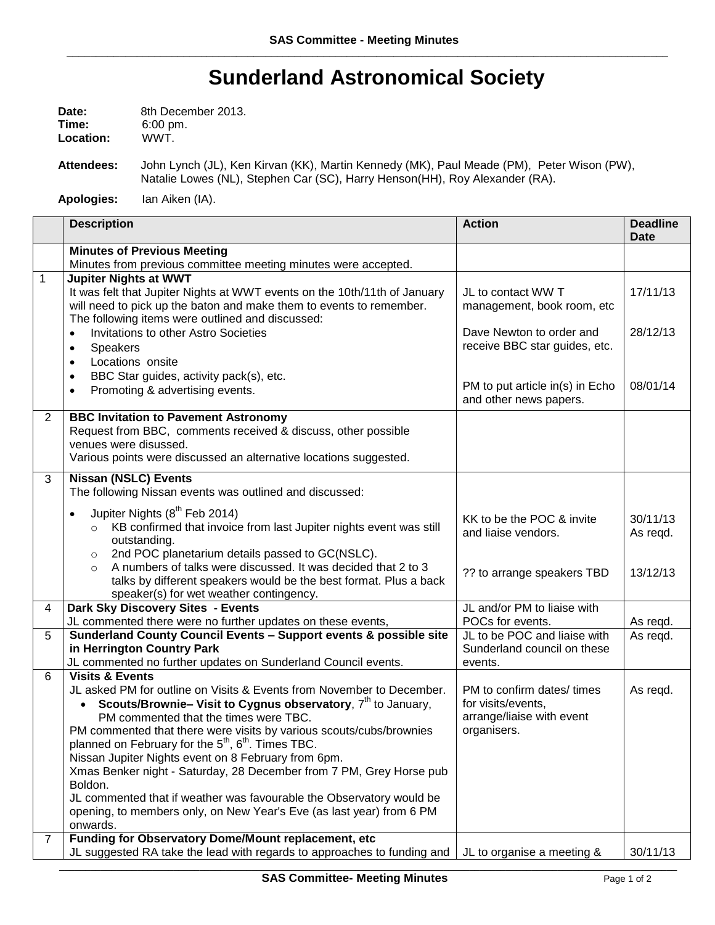## **Sunderland Astronomical Society**

| Date:     | 8th December 2013.  |
|-----------|---------------------|
| Time:     | $6:00 \text{ pm}$ . |
| Location: | WWT.                |

**Attendees:** John Lynch (JL), Ken Kirvan (KK), Martin Kennedy (MK), Paul Meade (PM), Peter Wison (PW), Natalie Lowes (NL), Stephen Car (SC), Harry Henson(HH), Roy Alexander (RA).

**Apologies:** Ian Aiken (IA).

|                | <b>Description</b>                                                                                                                                                                                                                                                                                                                                                                                                                                                                                                                                                                                                                                                      | <b>Action</b>                                                                                | <b>Deadline</b><br><b>Date</b> |
|----------------|-------------------------------------------------------------------------------------------------------------------------------------------------------------------------------------------------------------------------------------------------------------------------------------------------------------------------------------------------------------------------------------------------------------------------------------------------------------------------------------------------------------------------------------------------------------------------------------------------------------------------------------------------------------------------|----------------------------------------------------------------------------------------------|--------------------------------|
|                | <b>Minutes of Previous Meeting</b><br>Minutes from previous committee meeting minutes were accepted.                                                                                                                                                                                                                                                                                                                                                                                                                                                                                                                                                                    |                                                                                              |                                |
| $\mathbf{1}$   | <b>Jupiter Nights at WWT</b><br>It was felt that Jupiter Nights at WWT events on the 10th/11th of January<br>will need to pick up the baton and make them to events to remember.<br>The following items were outlined and discussed:                                                                                                                                                                                                                                                                                                                                                                                                                                    | JL to contact WW T<br>management, book room, etc                                             | 17/11/13                       |
|                | Invitations to other Astro Societies<br>$\bullet$<br>Speakers<br>$\bullet$<br>Locations onsite<br>$\bullet$<br>BBC Star guides, activity pack(s), etc.<br>$\bullet$                                                                                                                                                                                                                                                                                                                                                                                                                                                                                                     | Dave Newton to order and<br>receive BBC star guides, etc.                                    | 28/12/13                       |
|                | Promoting & advertising events.<br>$\bullet$                                                                                                                                                                                                                                                                                                                                                                                                                                                                                                                                                                                                                            | PM to put article in(s) in Echo<br>and other news papers.                                    | 08/01/14                       |
| $\overline{2}$ | <b>BBC Invitation to Pavement Astronomy</b><br>Request from BBC, comments received & discuss, other possible<br>venues were disussed.                                                                                                                                                                                                                                                                                                                                                                                                                                                                                                                                   |                                                                                              |                                |
|                | Various points were discussed an alternative locations suggested.                                                                                                                                                                                                                                                                                                                                                                                                                                                                                                                                                                                                       |                                                                                              |                                |
| 3              | <b>Nissan (NSLC) Events</b><br>The following Nissan events was outlined and discussed:                                                                                                                                                                                                                                                                                                                                                                                                                                                                                                                                                                                  |                                                                                              |                                |
|                | Jupiter Nights (8 <sup>th</sup> Feb 2014)<br>$\bullet$<br>KB confirmed that invoice from last Jupiter nights event was still<br>$\circ$<br>outstanding.<br>2nd POC planetarium details passed to GC(NSLC).<br>$\circ$                                                                                                                                                                                                                                                                                                                                                                                                                                                   | KK to be the POC & invite<br>and liaise vendors.                                             | 30/11/13<br>As regd.           |
|                | A numbers of talks were discussed. It was decided that 2 to 3<br>$\Omega$<br>talks by different speakers would be the best format. Plus a back<br>speaker(s) for wet weather contingency.                                                                                                                                                                                                                                                                                                                                                                                                                                                                               | ?? to arrange speakers TBD                                                                   | 13/12/13                       |
| 4              | Dark Sky Discovery Sites - Events<br>JL commented there were no further updates on these events,                                                                                                                                                                                                                                                                                                                                                                                                                                                                                                                                                                        | JL and/or PM to liaise with<br>POCs for events.                                              | As reqd.                       |
| 5              | Sunderland County Council Events - Support events & possible site<br>in Herrington Country Park<br>JL commented no further updates on Sunderland Council events.                                                                                                                                                                                                                                                                                                                                                                                                                                                                                                        | JL to be POC and liaise with<br>Sunderland council on these<br>events.                       | As regd.                       |
| 6              | <b>Visits &amp; Events</b><br>JL asked PM for outline on Visits & Events from November to December.<br>Scouts/Brownie- Visit to Cygnus observatory, $7th$ to January,<br>$\bullet$<br>PM commented that the times were TBC.<br>PM commented that there were visits by various scouts/cubs/brownies<br>planned on February for the $5^{th}$ , $6^{th}$ . Times TBC.<br>Nissan Jupiter Nights event on 8 February from 6pm.<br>Xmas Benker night - Saturday, 28 December from 7 PM, Grey Horse pub<br>Boldon.<br>JL commented that if weather was favourable the Observatory would be<br>opening, to members only, on New Year's Eve (as last year) from 6 PM<br>onwards. | PM to confirm dates/ times<br>for visits/events,<br>arrange/liaise with event<br>organisers. | As regd.                       |
| $\overline{7}$ | Funding for Observatory Dome/Mount replacement, etc<br>JL suggested RA take the lead with regards to approaches to funding and                                                                                                                                                                                                                                                                                                                                                                                                                                                                                                                                          | JL to organise a meeting &                                                                   | 30/11/13                       |